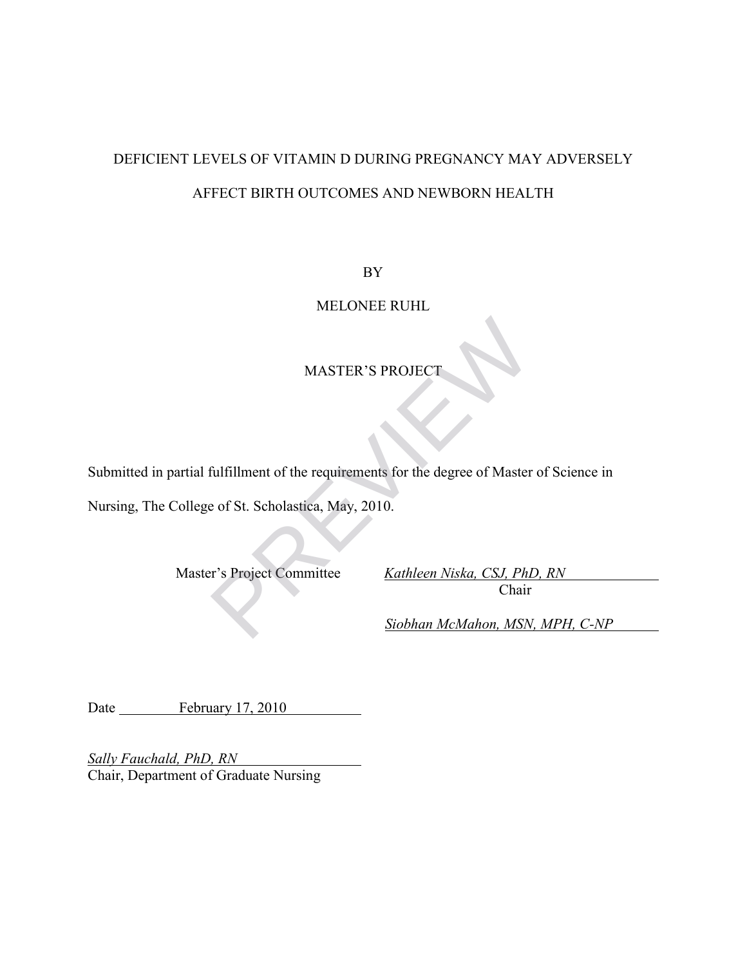## DEFICIENT LEVELS OF VITAMIN D DURING PREGNANCY MAY ADVERSELY AFFECT BIRTH OUTCOMES AND NEWBORN HEALTH

BY

MELONEE RUHL

## MASTER'S PROJECT

Submitted in partial fulfillment of the requirements for the degree of Master of Science in Nursing, The College of St. Scholastica, May, 2010. MASTER'S PROJECT<br>
fulfillment of the requirements for the degree of Master<br>
e of St. Scholastica, May, 2010.<br>
Pr's Project Committee Kathleen Niska, CSJ, Ph1<br>
Chair<br>
Siobhan McMahon, MSN

Master's Project Committee *Kathleen Niska, CSJ, PhD, RN* Chair

*Siobhan McMahon, MSN, MPH, C-NP*

Date February 17, 2010

*Sally Fauchald, PhD, RN*  Chair, Department of Graduate Nursing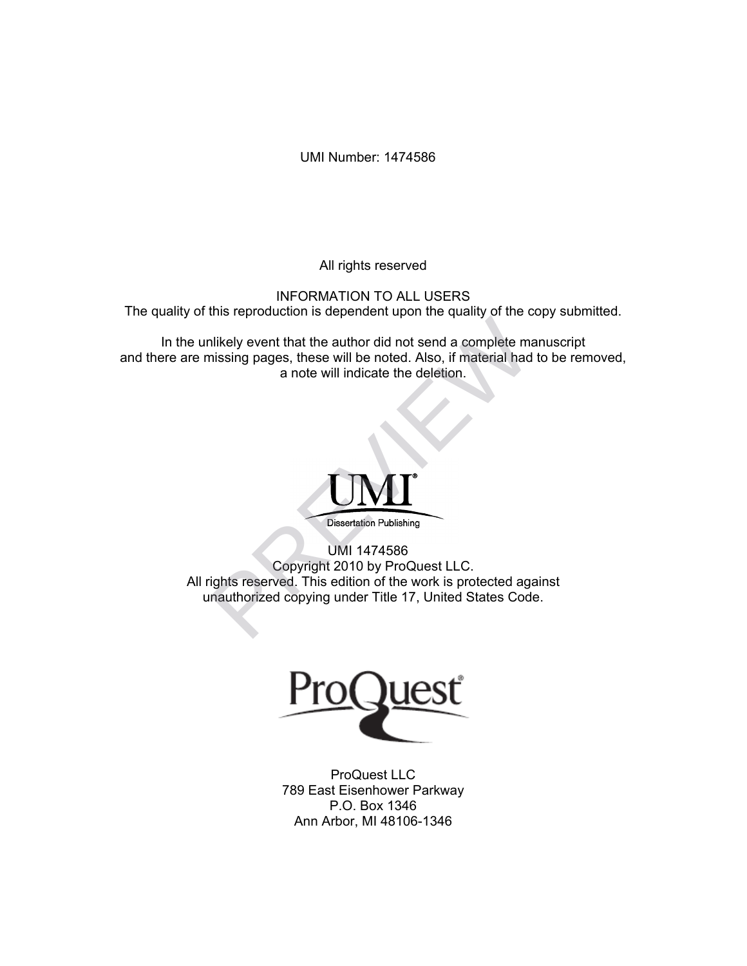UMI Number: 1474586

All rights reserved

INFORMATION TO ALL USERS The quality of this reproduction is dependent upon the quality of the copy submitted.

In the unlikely event that the author did not send a complete manuscript and there are missing pages, these will be noted. Also, if material had to be removed, a note will indicate the deletion.



UMI 1474586 Copyright 2010 by ProQuest LLC. All rights reserved. This edition of the work is protected against unauthorized copying under Title 17, United States Code. The representation is dependent dpental and a complete mainting pages, these will be noted. Also, if material had<br>a note will indicate the deletion.<br>Dissertation Publishing<br>Dissertation Publishing<br>Dissertation Publishing<br>D



ProQuest LLC 789 East Eisenhower Parkway P.O. Box 1346 Ann Arbor, MI 48106-1346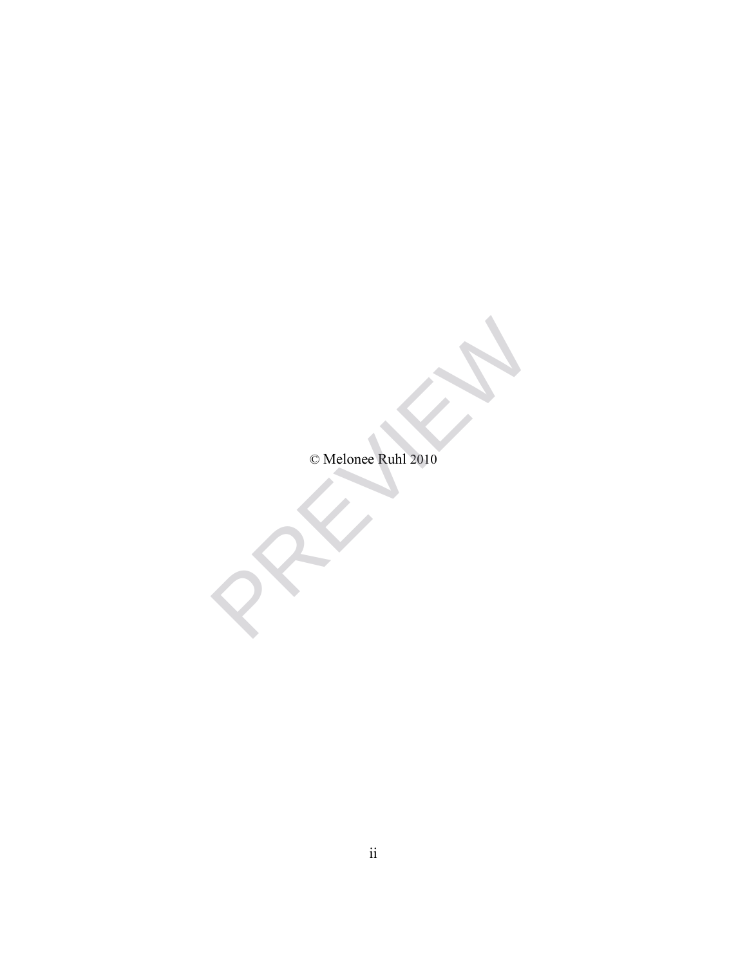© Melonee Ruhl 2010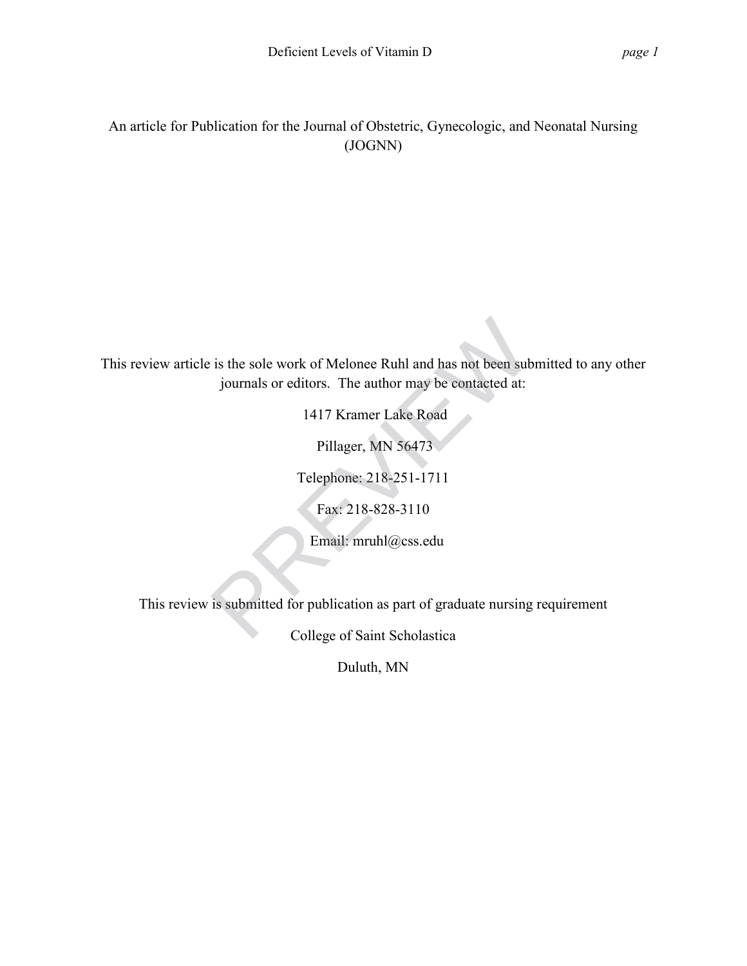An article for Publication for the Journal of Obstetric, Gynecologic, and Neonatal Nursing (JOGNN)

This review article is the sole work of Melonee Ruhl and has not been submitted to any other journals or editors. The author may be contacted at: is the sole work of Melonee Ruhl and has not been submitt<br>journals or editors. The author may be contacted at:<br>1417 Kramer Lake Road<br>Pillager, MN 56473<br>Telephone: 218-251-1711<br>Fax: 218-828-3110<br>Email: mruhl@css.edu<br>is subm

1417 Kramer Lake Road

Pillager, MN 56473

Telephone: 218-251-1711

Fax: 218-828-3110

Email: mruhl@css.edu

This review is submitted for publication as part of graduate nursing requirement

College of Saint Scholastica

Duluth, MN